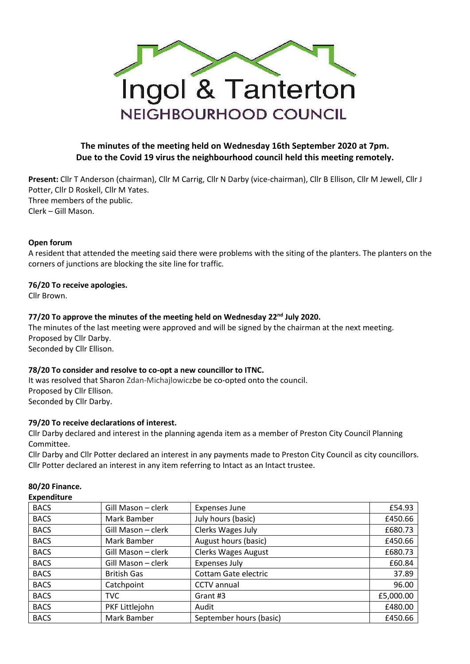

# **The minutes of the meeting held on Wednesday 16th September 2020 at 7pm. Due to the Covid 19 virus the neighbourhood council held this meeting remotely.**

**Present:** Cllr T Anderson (chairman), Cllr M Carrig, Cllr N Darby (vice-chairman), Cllr B Ellison, Cllr M Jewell, Cllr J Potter, Cllr D Roskell, Cllr M Yates. Three members of the public. Clerk – Gill Mason.

# **Open forum**

A resident that attended the meeting said there were problems with the siting of the planters. The planters on the corners of junctions are blocking the site line for traffic.

# **76/20 To receive apologies.**

Cllr Brown.

# **77/20 To approve the minutes of the meeting held on Wednesday 22nd July 2020.**

The minutes of the last meeting were approved and will be signed by the chairman at the next meeting. Proposed by Cllr Darby. Seconded by Cllr Ellison.

### **78/20 To consider and resolve to co-opt a new councillor to ITNC.**

It was resolved that Sharon Zdan-Michajlowiczbe be co-opted onto the council. Proposed by Cllr Ellison. Seconded by Cllr Darby.

### **79/20 To receive declarations of interest.**

Cllr Darby declared and interest in the planning agenda item as a member of Preston City Council Planning Committee.

Cllr Darby and Cllr Potter declared an interest in any payments made to Preston City Council as city councillors. Cllr Potter declared an interest in any item referring to Intact as an Intact trustee.

# **80/20 Finance.**

| <b>Expenditure</b> |
|--------------------|
|--------------------|

| <b>BACS</b> | Gill Mason - clerk | <b>Expenses June</b>       | £54.93    |
|-------------|--------------------|----------------------------|-----------|
| <b>BACS</b> | Mark Bamber        | July hours (basic)         | £450.66   |
| <b>BACS</b> | Gill Mason - clerk | Clerks Wages July          | £680.73   |
| <b>BACS</b> | Mark Bamber        | August hours (basic)       | £450.66   |
| <b>BACS</b> | Gill Mason - clerk | <b>Clerks Wages August</b> | £680.73   |
| <b>BACS</b> | Gill Mason - clerk | <b>Expenses July</b>       | £60.84    |
| <b>BACS</b> | <b>British Gas</b> | Cottam Gate electric       | 37.89     |
| <b>BACS</b> | Catchpoint         | CCTV annual                | 96.00     |
| <b>BACS</b> | <b>TVC</b>         | Grant #3                   | £5,000.00 |
| <b>BACS</b> | PKF Littlejohn     | Audit                      | £480.00   |
| <b>BACS</b> | Mark Bamber        | September hours (basic)    | £450.66   |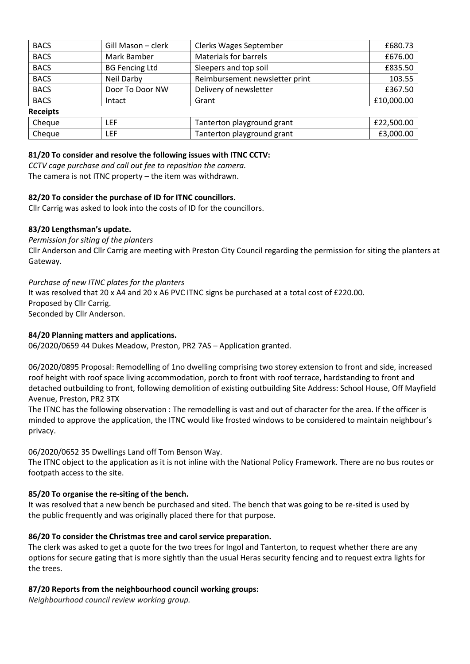| <b>BACS</b>     | Gill Mason - clerk    | <b>Clerks Wages September</b>  | £680.73    |  |
|-----------------|-----------------------|--------------------------------|------------|--|
| <b>BACS</b>     | Mark Bamber           | <b>Materials for barrels</b>   | £676.00    |  |
| <b>BACS</b>     | <b>BG Fencing Ltd</b> | Sleepers and top soil          | £835.50    |  |
| <b>BACS</b>     | Neil Darby            | Reimbursement newsletter print | 103.55     |  |
| <b>BACS</b>     | Door To Door NW       | Delivery of newsletter         | £367.50    |  |
| <b>BACS</b>     | Intact                | Grant                          | £10,000.00 |  |
| <b>Receipts</b> |                       |                                |            |  |
| Cheque          | <b>LEF</b>            | Tanterton playground grant     | £22,500.00 |  |
| Cheque          | <b>LEF</b>            | Tanterton playground grant     | £3,000.00  |  |

# **81/20 To consider and resolve the following issues with ITNC CCTV:**

*CCTV cage purchase and call out fee to reposition the camera.* The camera is not ITNC property – the item was withdrawn.

# **82/20 To consider the purchase of ID for ITNC councillors.**

Cllr Carrig was asked to look into the costs of ID for the councillors.

# **83/20 Lengthsman's update.**

*Permission for siting of the planters* Cllr Anderson and Cllr Carrig are meeting with Preston City Council regarding the permission for siting the planters at Gateway.

# *Purchase of new ITNC plates for the planters*

It was resolved that 20 x A4 and 20 x A6 PVC ITNC signs be purchased at a total cost of £220.00. Proposed by Cllr Carrig. Seconded by Cllr Anderson.

# **84/20 Planning matters and applications.**

06/2020/0659 44 Dukes Meadow, Preston, PR2 7AS – Application granted.

06/2020/0895 Proposal: Remodelling of 1no dwelling comprising two storey extension to front and side, increased roof height with roof space living accommodation, porch to front with roof terrace, hardstanding to front and detached outbuilding to front, following demolition of existing outbuilding Site Address: School House, Off Mayfield Avenue, Preston, PR2 3TX

The ITNC has the following observation : The remodelling is vast and out of character for the area. If the officer is minded to approve the application, the ITNC would like frosted windows to be considered to maintain neighbour's privacy.

# 06/2020/0652 35 Dwellings Land off Tom Benson Way.

The ITNC object to the application as it is not inline with the National Policy Framework. There are no bus routes or footpath access to the site.

# **85/20 To organise the re-siting of the bench.**

It was resolved that a new bench be purchased and sited. The bench that was going to be re-sited is used by the public frequently and was originally placed there for that purpose.

### **86/20 To consider the Christmas tree and carol service preparation.**

The clerk was asked to get a quote for the two trees for Ingol and Tanterton, to request whether there are any options for secure gating that is more sightly than the usual Heras security fencing and to request extra lights for the trees.

### **87/20 Reports from the neighbourhood council working groups:**

*Neighbourhood council review working group.*